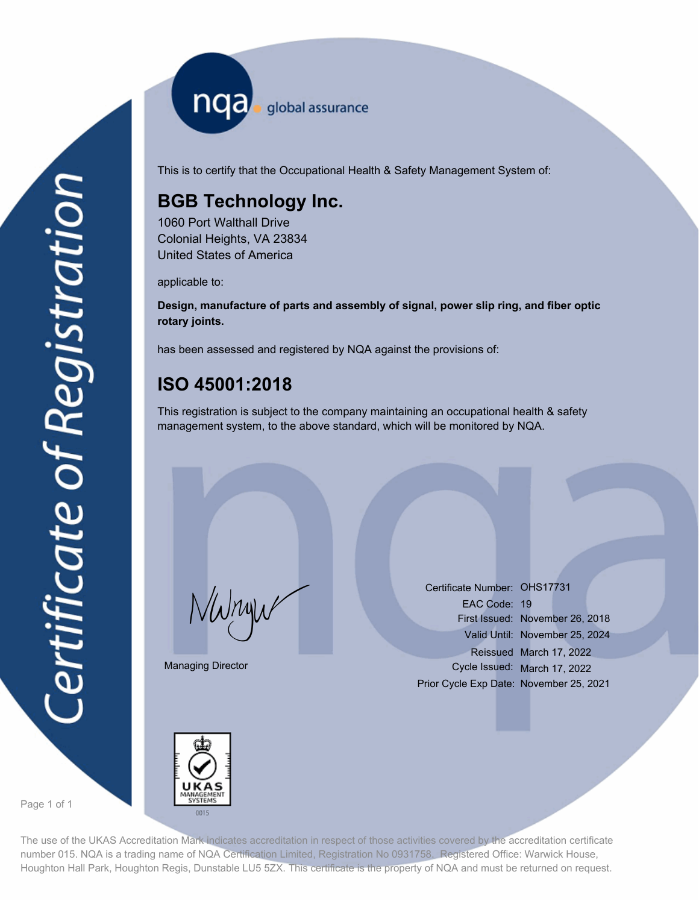nqa <sub>global</sub> assurance

This is to certify that the Occupational Health & Safety Management System of:

### **BGB Technology Inc.**

1060 Port Walthall Drive Colonial Heights, VA 23834 United States of America

applicable to:

**Design, manufacture of parts and assembly of signal, power slip ring, and fiber optic rotary joints.**

has been assessed and registered by NQA against the provisions of:

## **ISO 45001:2018**

This registration is subject to the company maintaining an occupational health & safety management system, to the above standard, which will be monitored by NQA.

Managing Director

Certificate Number: OHS17731<br>EAC Code: 19<br>First Issued: November<br>Valid Until: November EAC Code: 19 First Issued: November 26, 2018 Valid Until: November 25, 2024 Reissued March 17, 2022 Cycle Issued: March 17, 2022 Prior Cycle Exp Date: November 25, 2021



Page 1 of 1

The use of the UKAS Accreditation Mark indicates accreditation in respect of those activities covered by the accreditation certificate number 015. NQA is a trading name of NQA Certification Limited, Registration No 0931758. Registered Office: Warwick House, Houghton Hall Park, Houghton Regis, Dunstable LU5 5ZX. This certificate is the property of NQA and must be returned on request.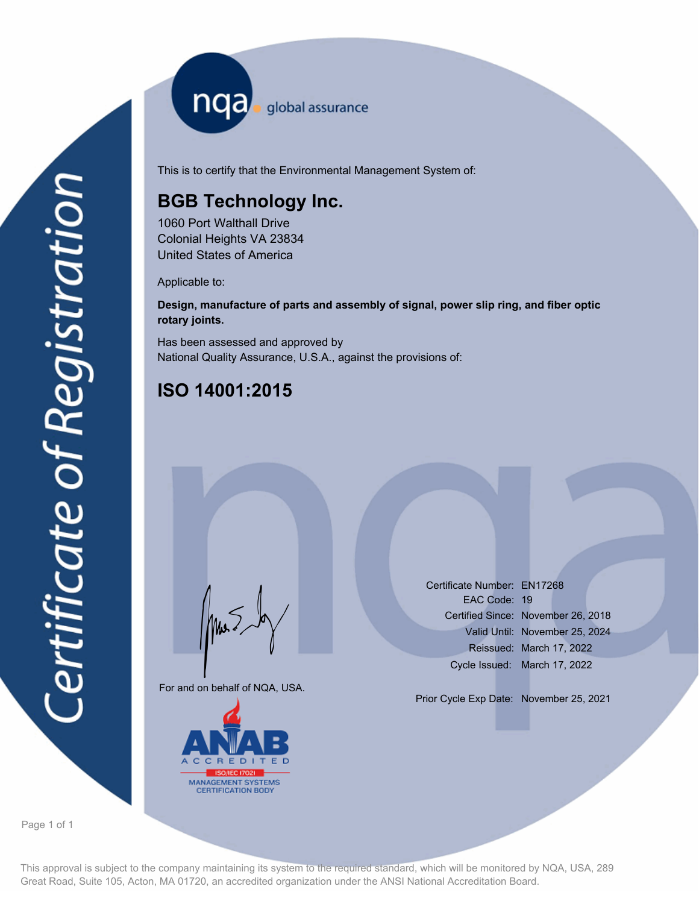nqa <sub>global assurance</sub>

This is to certify that the Environmental Management System of:

## **BGB Technology Inc.**

1060 Port Walthall Drive Colonial Heights VA 23834 United States of America

Applicable to:

**Design, manufacture of parts and assembly of signal, power slip ring, and fiber optic rotary joints.**

Has been assessed and approved by National Quality Assurance, U.S.A., against the provisions of:

# **ISO 14001:2015**

For and on behalf of NQA, USA.

Mus



Certificate Number: EN17268 EAC Code: 19 Certified Since: November 26, 2018 Valid Until: November 25, 2024 Reissued: March 17, 2022 Cycle Issued: March 17, 2022

Prior Cycle Exp Date: November 25, 2021

Page 1 of 1

This approval is subject to the company maintaining its system to the required standard, which will be monitored by NQA, USA, 289 Great Road, Suite 105, Acton, MA 01720, an accredited organization under the ANSI National Accreditation Board.